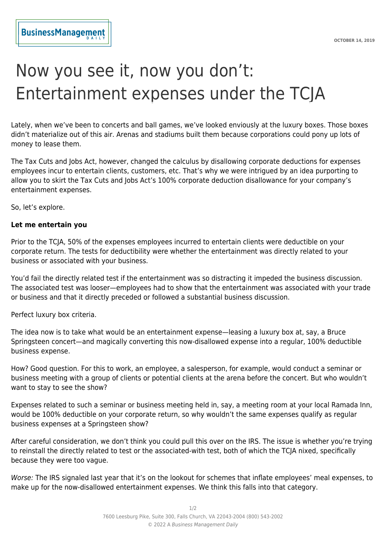## Now you see it, now you don't: Entertainment expenses under the TCJA

Lately, when we've been to concerts and ball games, we've looked enviously at the luxury boxes. Those boxes didn't materialize out of this air. Arenas and stadiums built them because corporations could pony up lots of money to lease them.

The Tax Cuts and Jobs Act, however, changed the calculus by disallowing corporate deductions for expenses employees incur to entertain clients, customers, etc. That's why we were intrigued by an idea purporting to allow you to skirt the Tax Cuts and Jobs Act's 100% corporate deduction disallowance for your company's entertainment expenses.

So, let's explore.

## **Let me entertain you**

Prior to the TCJA, 50% of the expenses employees incurred to entertain clients were deductible on your corporate return. The tests for deductibility were whether the entertainment was directly related to your business or associated with your business.

You'd fail the directly related test if the entertainment was so distracting it impeded the business discussion. The associated test was looser—employees had to show that the entertainment was associated with your trade or business and that it directly preceded or followed a substantial business discussion.

Perfect luxury box criteria.

The idea now is to take what would be an entertainment expense—leasing a luxury box at, say, a Bruce Springsteen concert—and magically converting this now-disallowed expense into a regular, 100% deductible business expense.

How? Good question. For this to work, an employee, a salesperson, for example, would conduct a seminar or business meeting with a group of clients or potential clients at the arena before the concert. But who wouldn't want to stay to see the show?

Expenses related to such a seminar or business meeting held in, say, a meeting room at your local Ramada Inn, would be 100% deductible on your corporate return, so why wouldn't the same expenses qualify as regular business expenses at a Springsteen show?

After careful consideration, we don't think you could pull this over on the IRS. The issue is whether you're trying to reinstall the directly related to test or the associated-with test, both of which the TCJA nixed, specifically because they were too vague.

Worse: The IRS signaled last year that it's on the lookout for schemes that inflate employees' meal expenses, to make up for the now-disallowed entertainment expenses. We think this falls into that category.